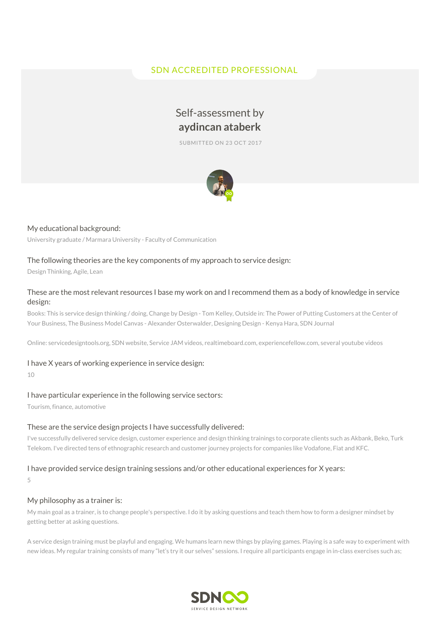# SDN ACCREDITED PROFESSIONAL

# Self-assessment by **aydincan ataberk**

SUBMITTED ON 23 OCT 2017



## My educational background:

University graduate / Marmara University - Faculty of Communication

## The following theories are the key components of my approach to service design:

Design Thinking, Agile, Lean

# These are the most relevant resources I base my work on and I recommend them as a body of knowledge in service design:

Books: This is service design thinking / doing, Change by Design - Tom Kelley, Outside in: The Power of Putting Customers at the Center of Your Business, The Business Model Canvas - Alexander Osterwalder, Designing Design - Kenya Hara, SDN Journal

Online: servicedesigntools.org, SDN website, Service JAM videos, realtimeboard.com, experiencefellow.com, several youtube videos

### I have X years of working experience in service design:

10

### I have particular experience in the following service sectors:

Tourism, finance, automotive

#### These are the service design projects I have successfully delivered:

I've successfully delivered service design, customer experience and design thinking trainings to corporate clients such as Akbank, Beko, Turk Telekom. I've directed tens of ethnographic research and customer journey projects for companies like Vodafone, Fiat and KFC.

### I have provided service design training sessions and/or other educational experiences for X years:

5

#### My philosophy as a trainer is:

My main goal as a trainer, is to change people's perspective. I do it by asking questions and teach them how to form a designer mindset by getting better at asking questions.

A service design training must be playful and engaging. We humans learn new things by playing games. Playing is a safe way to experiment with new ideas. My regular training consists of many "let's try it our selves" sessions. I require all participants engage in in-class exercises such as;

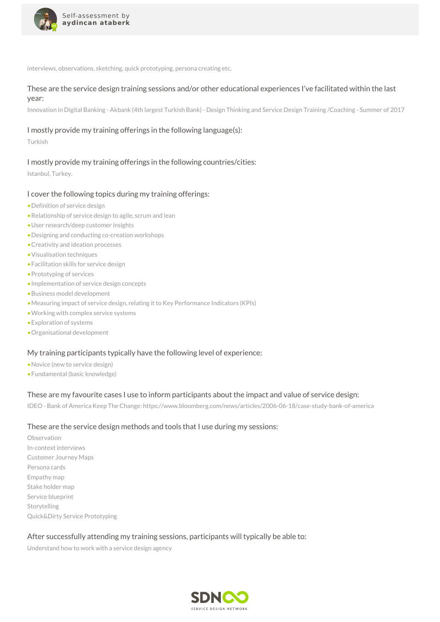

interviews, observations, sketching, quick prototyping, persona creating etc.

# These are the service design training sessions and/or other educational experiences I've facilitated within the last year:

Innovation in Digital Banking - Akbank (4th largest Turkish Bank) - Design Thinking and Service Design Training /Coaching - Summer of 2017

# I mostly provide my training offerings in the following language(s):

Turkish

# I mostly provide my training offerings in the following countries/cities:

Istanbul, Turkey.

# I cover the following topics during my training offerings:

- •Definition of service design
- •Relationship of service design to agile, scrum and lean
- •User research/deep customer insights
- •Designing and conducting co-creation workshops
- •Creativity and ideation processes
- •Visualisation techniques
- •Facilitation skills for service design
- •Prototyping of services
- •Implementation of service design concepts
- •Business model development
- •Measuring impact of service design, relating it to Key Performance Indicators (KPIs)
- •Working with complex service systems
- •Exploration of systems
- •Organisational development

# My training participants typically have the following level of experience:

- •Novice (new to service design)
- •Fundamental (basic knowledge)

# These are my favourite cases I use to inform participants about the impact and value of service design:

IDEO - Bank of America Keep The Change: https://www.bloomberg.com/news/articles/2006-06-18/case-study-bank-of-america

# These are the service design methods and tools that I use during my sessions:

Observation In-context interviews Customer Journey Maps Persona cards Empathy map Stake holder map Service blueprint Storytelling Quick&Dirty Service Prototyping

# After successfully attending my training sessions, participants will typically be able to:

Understand how to work with a service design agency